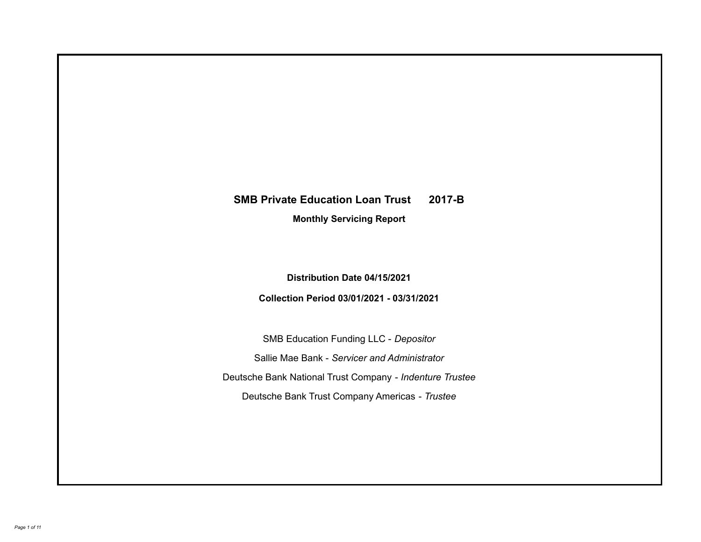# **SMB Private Education Loan Trust 2017-B**

**Monthly Servicing Report**

**Distribution Date 04/15/2021**

**Collection Period 03/01/2021 - 03/31/2021**

SMB Education Funding LLC - *Depositor* Sallie Mae Bank - *Servicer and Administrator* Deutsche Bank National Trust Company - *Indenture Trustee* Deutsche Bank Trust Company Americas - *Trustee*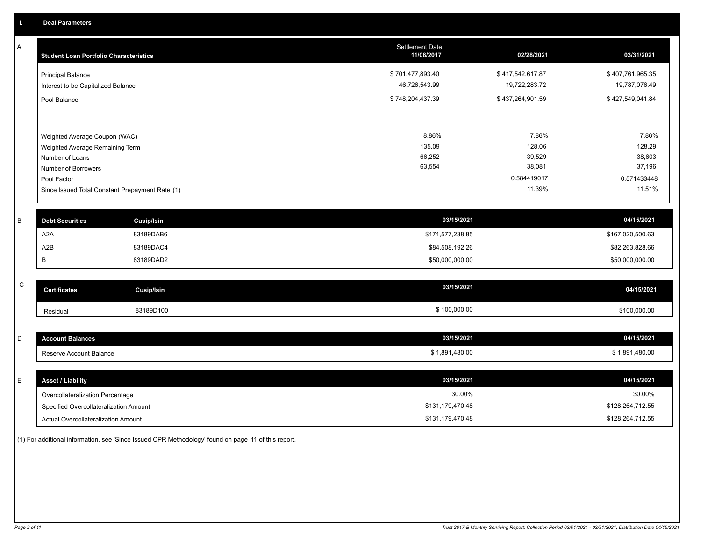A

| A | <b>Student Loan Portfolio Characteristics</b>   |                   | Settlement Date<br>11/08/2017 | 02/28/2021       | 03/31/2021       |
|---|-------------------------------------------------|-------------------|-------------------------------|------------------|------------------|
|   | <b>Principal Balance</b>                        |                   | \$701,477,893.40              | \$417,542,617.87 | \$407,761,965.35 |
|   | Interest to be Capitalized Balance              |                   | 46,726,543.99                 | 19,722,283.72    | 19,787,076.49    |
|   | Pool Balance                                    |                   | \$748,204,437.39              | \$437,264,901.59 | \$427,549,041.84 |
|   |                                                 |                   |                               |                  |                  |
|   | Weighted Average Coupon (WAC)                   |                   | 8.86%                         | 7.86%            | 7.86%            |
|   | Weighted Average Remaining Term                 |                   | 135.09                        | 128.06           | 128.29           |
|   | Number of Loans                                 |                   | 66,252                        | 39,529           | 38,603           |
|   | Number of Borrowers                             |                   | 63,554                        | 38,081           | 37,196           |
|   | Pool Factor                                     |                   |                               | 0.584419017      | 0.571433448      |
|   | Since Issued Total Constant Prepayment Rate (1) |                   |                               | 11.39%           | 11.51%           |
|   |                                                 |                   |                               |                  |                  |
| B | <b>Debt Securities</b>                          | <b>Cusip/Isin</b> | 03/15/2021                    |                  | 04/15/2021       |
|   | A <sub>2</sub> A                                | 83189DAB6         | \$171,577,238.85              |                  | \$167,020,500.63 |
|   | A <sub>2</sub> B                                | 83189DAC4         | \$84,508,192.26               |                  | \$82,263,828.66  |
|   | В                                               | 83189DAD2         | \$50,000,000.00               |                  | \$50,000,000.00  |
|   |                                                 |                   |                               |                  |                  |
| C | <b>Certificates</b>                             | <b>Cusip/Isin</b> | 03/15/2021                    |                  | 04/15/2021       |
|   | Residual                                        | 83189D100         | \$100,000.00                  |                  | \$100,000.00     |
|   |                                                 |                   |                               |                  |                  |
| D | <b>Account Balances</b>                         |                   | 03/15/2021                    |                  | 04/15/2021       |
|   | Reserve Account Balance                         |                   | \$1,891,480.00                |                  | \$1,891,480.00   |
|   |                                                 |                   |                               |                  |                  |

| <b>Asset / Liability</b>               | 03/15/2021       | 04/15/2021       |
|----------------------------------------|------------------|------------------|
| Overcollateralization Percentage       | 30.00%           | 30.00%           |
| Specified Overcollateralization Amount | \$131,179,470.48 | \$128,264,712.55 |
| Actual Overcollateralization Amount    | \$131,179,470.48 | \$128,264,712.55 |

(1) For additional information, see 'Since Issued CPR Methodology' found on page 11 of this report.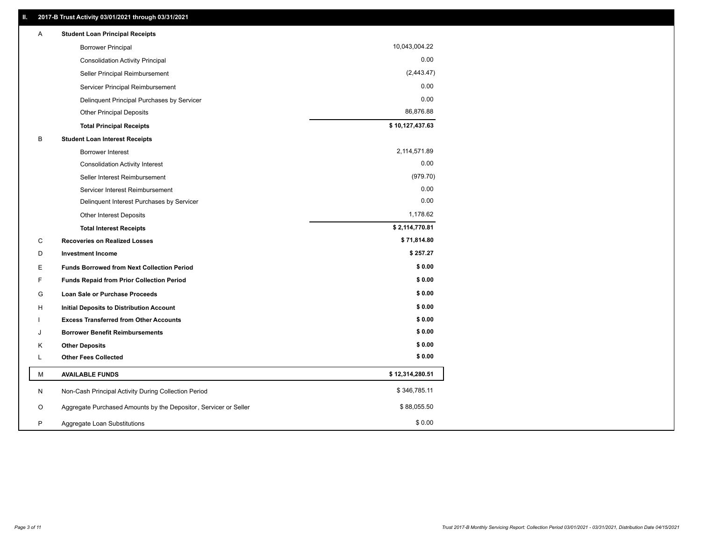| Α | <b>Student Loan Principal Receipts</b>                           |                 |
|---|------------------------------------------------------------------|-----------------|
|   | <b>Borrower Principal</b>                                        | 10,043,004.22   |
|   | <b>Consolidation Activity Principal</b>                          | 0.00            |
|   | Seller Principal Reimbursement                                   | (2,443.47)      |
|   | Servicer Principal Reimbursement                                 | 0.00            |
|   | Delinquent Principal Purchases by Servicer                       | 0.00            |
|   | <b>Other Principal Deposits</b>                                  | 86,876.88       |
|   | <b>Total Principal Receipts</b>                                  | \$10,127,437.63 |
| В | <b>Student Loan Interest Receipts</b>                            |                 |
|   | <b>Borrower Interest</b>                                         | 2,114,571.89    |
|   | <b>Consolidation Activity Interest</b>                           | 0.00            |
|   | Seller Interest Reimbursement                                    | (979.70)        |
|   | Servicer Interest Reimbursement                                  | 0.00            |
|   | Delinquent Interest Purchases by Servicer                        | 0.00            |
|   | Other Interest Deposits                                          | 1,178.62        |
|   | <b>Total Interest Receipts</b>                                   | \$2,114,770.81  |
| C | <b>Recoveries on Realized Losses</b>                             | \$71,814.80     |
| D | <b>Investment Income</b>                                         | \$257.27        |
| Е | <b>Funds Borrowed from Next Collection Period</b>                | \$0.00          |
| F | <b>Funds Repaid from Prior Collection Period</b>                 | \$0.00          |
| G | Loan Sale or Purchase Proceeds                                   | \$0.00          |
| H | Initial Deposits to Distribution Account                         | \$0.00          |
|   | <b>Excess Transferred from Other Accounts</b>                    | \$0.00          |
| J | <b>Borrower Benefit Reimbursements</b>                           | \$0.00          |
| Κ | <b>Other Deposits</b>                                            | \$0.00          |
| L | <b>Other Fees Collected</b>                                      | \$0.00          |
| М | <b>AVAILABLE FUNDS</b>                                           | \$12,314,280.51 |
| N | Non-Cash Principal Activity During Collection Period             | \$346,785.11    |
| O | Aggregate Purchased Amounts by the Depositor, Servicer or Seller | \$88,055.50     |
| P | Aggregate Loan Substitutions                                     | \$0.00          |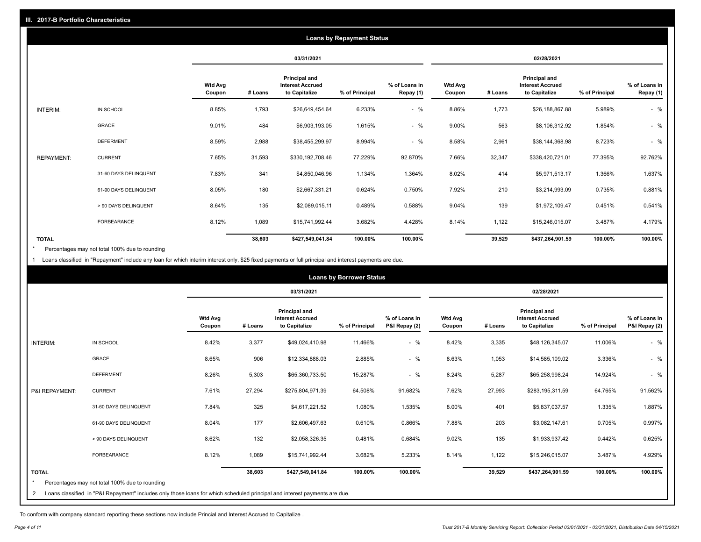|                   |                       |                          |         |                                                           | <b>Loans by Repayment Status</b> |                            |                          |         |                                                           |                |                            |
|-------------------|-----------------------|--------------------------|---------|-----------------------------------------------------------|----------------------------------|----------------------------|--------------------------|---------|-----------------------------------------------------------|----------------|----------------------------|
|                   |                       |                          |         | 03/31/2021                                                |                                  |                            |                          |         | 02/28/2021                                                |                |                            |
|                   |                       | <b>Wtd Avg</b><br>Coupon | # Loans | Principal and<br><b>Interest Accrued</b><br>to Capitalize | % of Principal                   | % of Loans in<br>Repay (1) | <b>Wtd Avg</b><br>Coupon | # Loans | Principal and<br><b>Interest Accrued</b><br>to Capitalize | % of Principal | % of Loans in<br>Repay (1) |
| INTERIM:          | IN SCHOOL             | 8.85%                    | 1,793   | \$26,649,454.64                                           | 6.233%                           | $-$ %                      | 8.86%                    | 1,773   | \$26,188,867.88                                           | 5.989%         | $-$ %                      |
|                   | <b>GRACE</b>          | 9.01%                    | 484     | \$6,903,193.05                                            | 1.615%                           | $-$ %                      | 9.00%                    | 563     | \$8,106,312.92                                            | 1.854%         | $-$ %                      |
|                   | <b>DEFERMENT</b>      | 8.59%                    | 2,988   | \$38,455,299.97                                           | 8.994%                           | $-$ %                      | 8.58%                    | 2,961   | \$38,144,368.98                                           | 8.723%         | $-$ %                      |
| <b>REPAYMENT:</b> | <b>CURRENT</b>        | 7.65%                    | 31,593  | \$330,192,708.46                                          | 77.229%                          | 92.870%                    | 7.66%                    | 32,347  | \$338,420,721.01                                          | 77.395%        | 92.762%                    |
|                   | 31-60 DAYS DELINQUENT | 7.83%                    | 341     | \$4,850,046.96                                            | 1.134%                           | 1.364%                     | 8.02%                    | 414     | \$5,971,513.17                                            | 1.366%         | 1.637%                     |
|                   | 61-90 DAYS DELINQUENT | 8.05%                    | 180     | \$2,667,331.21                                            | 0.624%                           | 0.750%                     | 7.92%                    | 210     | \$3,214,993.09                                            | 0.735%         | 0.881%                     |
|                   | > 90 DAYS DELINQUENT  | 8.64%                    | 135     | \$2,089,015.11                                            | 0.489%                           | 0.588%                     | 9.04%                    | 139     | \$1,972,109.47                                            | 0.451%         | 0.541%                     |
|                   | FORBEARANCE           | 8.12%                    | 1,089   | \$15,741,992.44                                           | 3.682%                           | 4.428%                     | 8.14%                    | 1,122   | \$15,246,015.07                                           | 3.487%         | 4.179%                     |
| <b>TOTAL</b>      |                       |                          | 38,603  | \$427,549,041.84                                          | 100.00%                          | 100.00%                    |                          | 39,529  | \$437,264,901.59                                          | 100.00%        | 100.00%                    |

Percentages may not total 100% due to rounding \*

1 Loans classified in "Repayment" include any loan for which interim interest only, \$25 fixed payments or full principal and interest payments are due.

|                         |                                                                                                                            |                          |         |                                                                  | <b>Loans by Borrower Status</b> |                                |                          |         |                                                                  |                |                                |
|-------------------------|----------------------------------------------------------------------------------------------------------------------------|--------------------------|---------|------------------------------------------------------------------|---------------------------------|--------------------------------|--------------------------|---------|------------------------------------------------------------------|----------------|--------------------------------|
|                         |                                                                                                                            |                          |         | 03/31/2021                                                       |                                 |                                |                          |         | 02/28/2021                                                       |                |                                |
|                         |                                                                                                                            | <b>Wtd Avg</b><br>Coupon | # Loans | <b>Principal and</b><br><b>Interest Accrued</b><br>to Capitalize | % of Principal                  | % of Loans in<br>P&I Repay (2) | <b>Wtd Avg</b><br>Coupon | # Loans | <b>Principal and</b><br><b>Interest Accrued</b><br>to Capitalize | % of Principal | % of Loans in<br>P&I Repay (2) |
| <b>INTERIM:</b>         | IN SCHOOL                                                                                                                  | 8.42%                    | 3,377   | \$49.024.410.98                                                  | 11.466%                         | $-$ %                          | 8.42%                    | 3,335   | \$48,126,345.07                                                  | 11.006%        | $-$ %                          |
|                         | <b>GRACE</b>                                                                                                               | 8.65%                    | 906     | \$12,334,888.03                                                  | 2.885%                          | $-$ %                          | 8.63%                    | 1,053   | \$14,585,109.02                                                  | 3.336%         | $-$ %                          |
|                         | <b>DEFERMENT</b>                                                                                                           | 8.26%                    | 5,303   | \$65,360,733.50                                                  | 15.287%                         | $-$ %                          | 8.24%                    | 5,287   | \$65,258,998.24                                                  | 14.924%        | $-$ %                          |
| P&I REPAYMENT:          | <b>CURRENT</b>                                                                                                             | 7.61%                    | 27,294  | \$275,804,971.39                                                 | 64.508%                         | 91.682%                        | 7.62%                    | 27,993  | \$283,195,311.59                                                 | 64.765%        | 91.562%                        |
|                         | 31-60 DAYS DELINQUENT                                                                                                      | 7.84%                    | 325     | \$4,617,221.52                                                   | 1.080%                          | 1.535%                         | 8.00%                    | 401     | \$5,837,037.57                                                   | 1.335%         | 1.887%                         |
|                         | 61-90 DAYS DELINQUENT                                                                                                      | 8.04%                    | 177     | \$2,606,497.63                                                   | 0.610%                          | 0.866%                         | 7.88%                    | 203     | \$3,082,147.61                                                   | 0.705%         | 0.997%                         |
|                         | > 90 DAYS DELINQUENT                                                                                                       | 8.62%                    | 132     | \$2,058,326.35                                                   | 0.481%                          | 0.684%                         | 9.02%                    | 135     | \$1,933,937.42                                                   | 0.442%         | 0.625%                         |
|                         | <b>FORBEARANCE</b>                                                                                                         | 8.12%                    | 1,089   | \$15,741,992.44                                                  | 3.682%                          | 5.233%                         | 8.14%                    | 1,122   | \$15,246,015.07                                                  | 3.487%         | 4.929%                         |
| <b>TOTAL</b><br>$\star$ | Percentages may not total 100% due to rounding                                                                             |                          | 38,603  | \$427,549,041.84                                                 | 100.00%                         | 100.00%                        |                          | 39,529  | \$437,264,901.59                                                 | 100.00%        | 100.00%                        |
| 2                       | Loans classified in "P&I Repayment" includes only those loans for which scheduled principal and interest payments are due. |                          |         |                                                                  |                                 |                                |                          |         |                                                                  |                |                                |

To conform with company standard reporting these sections now include Princial and Interest Accrued to Capitalize .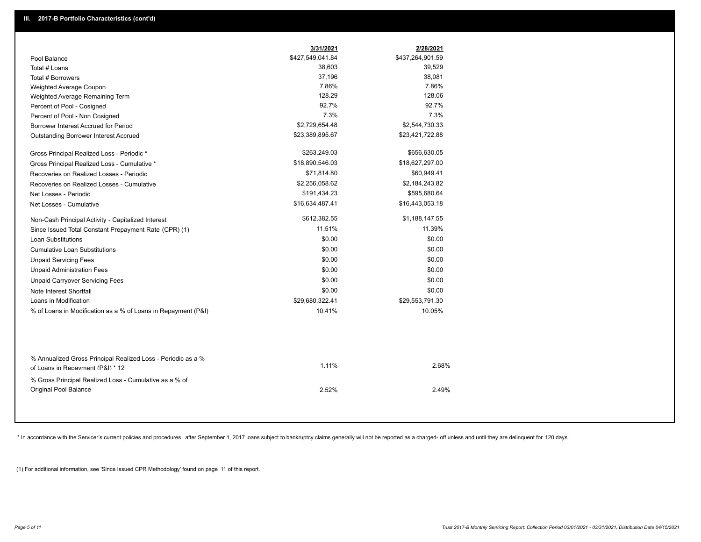|                                                                                                  | 3/31/2021        | 2/28/2021        |  |
|--------------------------------------------------------------------------------------------------|------------------|------------------|--|
| Pool Balance                                                                                     | \$427,549,041.84 | \$437,264,901.59 |  |
| Total # Loans                                                                                    | 38,603           | 39,529           |  |
| Total # Borrowers                                                                                | 37,196           | 38,081           |  |
| Weighted Average Coupon                                                                          | 7.86%            | 7.86%            |  |
| Weighted Average Remaining Term                                                                  | 128.29           | 128.06           |  |
| Percent of Pool - Cosigned                                                                       | 92.7%            | 92.7%            |  |
| Percent of Pool - Non Cosigned                                                                   | 7.3%             | 7.3%             |  |
| Borrower Interest Accrued for Period                                                             | \$2,729,654.48   | \$2,544,730.33   |  |
| Outstanding Borrower Interest Accrued                                                            | \$23,389,895.67  | \$23,421,722.88  |  |
| Gross Principal Realized Loss - Periodic *                                                       | \$263,249.03     | \$656,630.05     |  |
| Gross Principal Realized Loss - Cumulative *                                                     | \$18,890,546.03  | \$18,627,297.00  |  |
| Recoveries on Realized Losses - Periodic                                                         | \$71,814.80      | \$60,949.41      |  |
| Recoveries on Realized Losses - Cumulative                                                       | \$2,256,058.62   | \$2,184,243.82   |  |
| Net Losses - Periodic                                                                            | \$191,434.23     | \$595,680.64     |  |
| Net Losses - Cumulative                                                                          | \$16,634,487.41  | \$16,443,053.18  |  |
| Non-Cash Principal Activity - Capitalized Interest                                               | \$612,382.55     | \$1,188,147.55   |  |
| Since Issued Total Constant Prepayment Rate (CPR) (1)                                            | 11.51%           | 11.39%           |  |
| <b>Loan Substitutions</b>                                                                        | \$0.00           | \$0.00           |  |
| <b>Cumulative Loan Substitutions</b>                                                             | \$0.00           | \$0.00           |  |
| <b>Unpaid Servicing Fees</b>                                                                     | \$0.00           | \$0.00           |  |
| <b>Unpaid Administration Fees</b>                                                                | \$0.00           | \$0.00           |  |
| <b>Unpaid Carryover Servicing Fees</b>                                                           | \$0.00           | \$0.00           |  |
| Note Interest Shortfall                                                                          | \$0.00           | \$0.00           |  |
| Loans in Modification                                                                            | \$29,680,322.41  | \$29,553,791.30  |  |
| % of Loans in Modification as a % of Loans in Repayment (P&I)                                    | 10.41%           | 10.05%           |  |
|                                                                                                  |                  |                  |  |
| % Annualized Gross Principal Realized Loss - Periodic as a %<br>of Loans in Repayment (P&I) * 12 | 1.11%            | 2.68%            |  |
| % Gross Principal Realized Loss - Cumulative as a % of                                           |                  |                  |  |
| Original Pool Balance                                                                            | 2.52%            | 2.49%            |  |
|                                                                                                  |                  |                  |  |

\* In accordance with the Servicer's current policies and procedures, after September 1, 2017 loans subject to bankruptcy claims generally will not be reported as a charged- off unless and until they are delinquent for 120

(1) For additional information, see 'Since Issued CPR Methodology' found on page 11 of this report.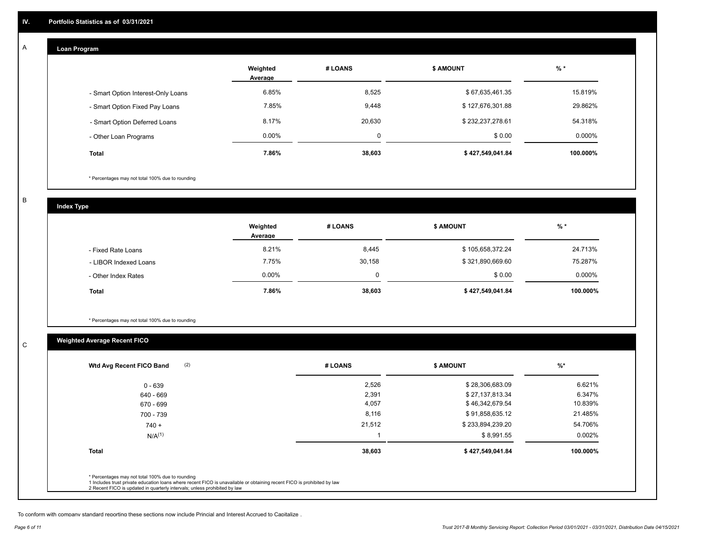## **Loan Program**

A

|                                    | Weighted<br>Average | # LOANS  | <b>\$ AMOUNT</b> | $%$ *    |
|------------------------------------|---------------------|----------|------------------|----------|
| - Smart Option Interest-Only Loans | 6.85%               | 8,525    | \$67,635,461.35  | 15.819%  |
| - Smart Option Fixed Pay Loans     | 7.85%               | 9,448    | \$127,676,301.88 | 29.862%  |
| - Smart Option Deferred Loans      | 8.17%               | 20.630   | \$232,237,278.61 | 54.318%  |
| - Other Loan Programs              | $0.00\%$            | $\Omega$ | \$0.00           | 0.000%   |
| Total                              | 7.86%               | 38,603   | \$427,549,041.84 | 100.000% |

\* Percentages may not total 100% due to rounding

B

C

**Index Type**

|                       | Weighted<br>Average | # LOANS | \$ AMOUNT        | $%$ *    |
|-----------------------|---------------------|---------|------------------|----------|
| - Fixed Rate Loans    | 8.21%               | 8,445   | \$105,658,372.24 | 24.713%  |
| - LIBOR Indexed Loans | 7.75%               | 30,158  | \$321,890,669.60 | 75.287%  |
| - Other Index Rates   | $0.00\%$            |         | \$0.00           | 0.000%   |
| <b>Total</b>          | 7.86%               | 38,603  | \$427,549,041.84 | 100.000% |

\* Percentages may not total 100% due to rounding

# **Weighted Average Recent FICO**

| 2,526<br>2,391<br>4,057<br>8,116 | \$28,306,683.09<br>\$27,137,813.34<br>\$46,342,679.54<br>\$91,858,635.12 | 6.621%<br>6.347%<br>10.839% |
|----------------------------------|--------------------------------------------------------------------------|-----------------------------|
|                                  |                                                                          |                             |
|                                  |                                                                          |                             |
|                                  |                                                                          |                             |
|                                  |                                                                          | 21.485%                     |
| 21,512                           | \$233,894,239.20                                                         | 54.706%                     |
|                                  | \$8,991.55                                                               | $0.002\%$                   |
| 38,603                           | \$427,549,041.84                                                         | 100.000%                    |
|                                  |                                                                          |                             |

To conform with company standard reporting these sections now include Princial and Interest Accrued to Capitalize .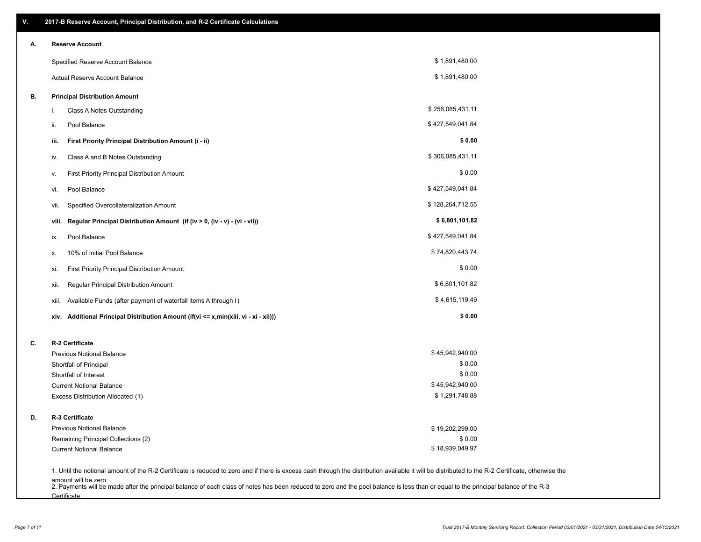| V. | 2017-B Reserve Account, Principal Distribution, and R-2 Certificate Calculations                                                                                                                                          |                  |  |
|----|---------------------------------------------------------------------------------------------------------------------------------------------------------------------------------------------------------------------------|------------------|--|
| Α. | <b>Reserve Account</b>                                                                                                                                                                                                    |                  |  |
|    | Specified Reserve Account Balance                                                                                                                                                                                         | \$1,891,480.00   |  |
|    | Actual Reserve Account Balance                                                                                                                                                                                            | \$1,891,480.00   |  |
| В. | <b>Principal Distribution Amount</b>                                                                                                                                                                                      |                  |  |
|    | Class A Notes Outstanding<br>i.                                                                                                                                                                                           | \$256,085,431.11 |  |
|    | Pool Balance<br>ii.                                                                                                                                                                                                       | \$427,549,041.84 |  |
|    | First Priority Principal Distribution Amount (i - ii)<br>iii.                                                                                                                                                             | \$0.00           |  |
|    | Class A and B Notes Outstanding<br>iv.                                                                                                                                                                                    | \$306,085,431.11 |  |
|    | First Priority Principal Distribution Amount<br>۷.                                                                                                                                                                        | \$0.00           |  |
|    | Pool Balance<br>VI.                                                                                                                                                                                                       | \$427,549,041.84 |  |
|    | Specified Overcollateralization Amount<br>vii.                                                                                                                                                                            | \$128,264,712.55 |  |
|    | Regular Principal Distribution Amount (if (iv > 0, (iv - v) - (vi - vii))<br>viii.                                                                                                                                        | \$6,801,101.82   |  |
|    | Pool Balance<br>ix.                                                                                                                                                                                                       | \$427,549,041.84 |  |
|    | 10% of Initial Pool Balance<br>х.                                                                                                                                                                                         | \$74,820,443.74  |  |
|    | First Priority Principal Distribution Amount<br>xi.                                                                                                                                                                       | \$0.00           |  |
|    | Regular Principal Distribution Amount<br>xii.                                                                                                                                                                             | \$6,801,101.82   |  |
|    | Available Funds (after payment of waterfall items A through I)<br>xiii.                                                                                                                                                   | \$4,615,119.49   |  |
|    | Additional Principal Distribution Amount (if(vi <= x,min(xiii, vi - xi - xii)))<br>xiv.                                                                                                                                   | \$0.00           |  |
| C. | R-2 Certificate                                                                                                                                                                                                           |                  |  |
|    | <b>Previous Notional Balance</b>                                                                                                                                                                                          | \$45,942,940.00  |  |
|    | Shortfall of Principal                                                                                                                                                                                                    | \$0.00           |  |
|    | Shortfall of Interest                                                                                                                                                                                                     | \$0.00           |  |
|    | <b>Current Notional Balance</b>                                                                                                                                                                                           | \$45,942,940.00  |  |
|    | Excess Distribution Allocated (1)                                                                                                                                                                                         | \$1,291,748.88   |  |
| D. | R-3 Certificate                                                                                                                                                                                                           |                  |  |
|    | <b>Previous Notional Balance</b>                                                                                                                                                                                          | \$19,202,299.00  |  |
|    | Remaining Principal Collections (2)                                                                                                                                                                                       | \$0.00           |  |
|    | <b>Current Notional Balance</b>                                                                                                                                                                                           | \$18,939,049.97  |  |
|    | 1. Until the notional amount of the R-2 Certificate is reduced to zero and if there is excess cash through the distribution available it will be distributed to the R-2 Certificate, otherwise the<br>amount will be zero |                  |  |

amount will be zero<br>2. Payments will be made after the principal balance of each class of notes has been reduced to zero and the pool balance is less than or equal to the principal balance of the R-3 **Certificate**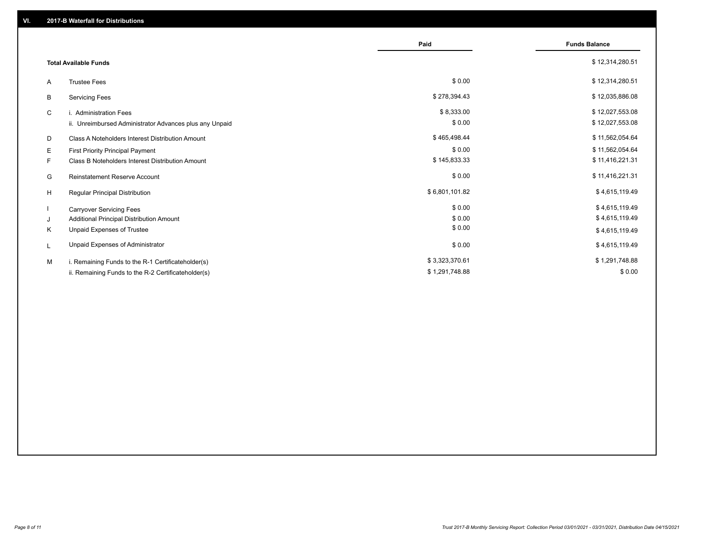|    |                                                         | Paid           | <b>Funds Balance</b> |
|----|---------------------------------------------------------|----------------|----------------------|
|    | <b>Total Available Funds</b>                            |                | \$12,314,280.51      |
| A  | <b>Trustee Fees</b>                                     | \$0.00         | \$12,314,280.51      |
| В  | <b>Servicing Fees</b>                                   | \$278,394.43   | \$12,035,886.08      |
| C  | i. Administration Fees                                  | \$8,333.00     | \$12,027,553.08      |
|    | ii. Unreimbursed Administrator Advances plus any Unpaid | \$0.00         | \$12,027,553.08      |
| D  | Class A Noteholders Interest Distribution Amount        | \$465,498.44   | \$11,562,054.64      |
| Е  | First Priority Principal Payment                        | \$0.00         | \$11,562,054.64      |
| F. | Class B Noteholders Interest Distribution Amount        | \$145,833.33   | \$11,416,221.31      |
| G  | <b>Reinstatement Reserve Account</b>                    | \$0.00         | \$11,416,221.31      |
| H  | Regular Principal Distribution                          | \$6,801,101.82 | \$4,615,119.49       |
|    | <b>Carryover Servicing Fees</b>                         | \$0.00         | \$4,615,119.49       |
| J  | Additional Principal Distribution Amount                | \$0.00         | \$4,615,119.49       |
| Κ  | Unpaid Expenses of Trustee                              | \$0.00         | \$4,615,119.49       |
| L  | Unpaid Expenses of Administrator                        | \$0.00         | \$4,615,119.49       |
| M  | i. Remaining Funds to the R-1 Certificateholder(s)      | \$3,323,370.61 | \$1,291,748.88       |
|    | ii. Remaining Funds to the R-2 Certificateholder(s)     | \$1,291,748.88 | \$0.00               |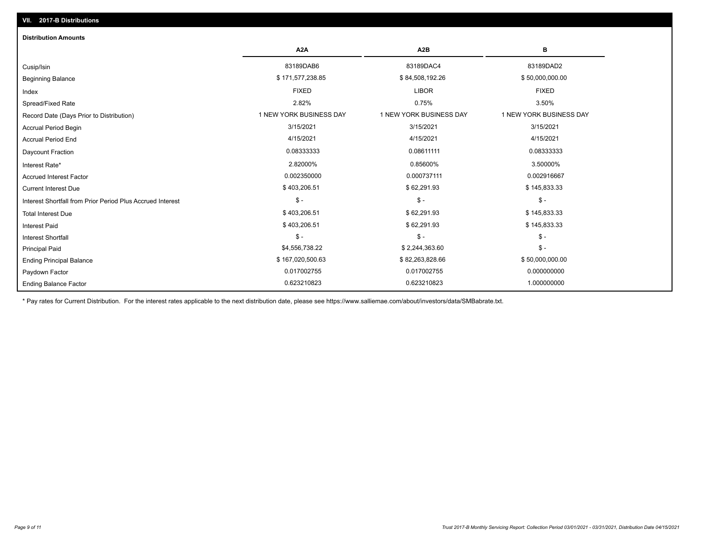| <b>Distribution Amounts</b>                                |                         |                         |                         |
|------------------------------------------------------------|-------------------------|-------------------------|-------------------------|
|                                                            | A <sub>2</sub> A        | A <sub>2</sub> B        | в                       |
| Cusip/Isin                                                 | 83189DAB6               | 83189DAC4               | 83189DAD2               |
| <b>Beginning Balance</b>                                   | \$171,577,238.85        | \$84,508,192.26         | \$50,000,000.00         |
| Index                                                      | <b>FIXED</b>            | <b>LIBOR</b>            | <b>FIXED</b>            |
| Spread/Fixed Rate                                          | 2.82%                   | 0.75%                   | 3.50%                   |
| Record Date (Days Prior to Distribution)                   | 1 NEW YORK BUSINESS DAY | 1 NEW YORK BUSINESS DAY | 1 NEW YORK BUSINESS DAY |
| <b>Accrual Period Begin</b>                                | 3/15/2021               | 3/15/2021               | 3/15/2021               |
| <b>Accrual Period End</b>                                  | 4/15/2021               | 4/15/2021               | 4/15/2021               |
| Daycount Fraction                                          | 0.08333333              | 0.08611111              | 0.08333333              |
| Interest Rate*                                             | 2.82000%                | 0.85600%                | 3.50000%                |
| <b>Accrued Interest Factor</b>                             | 0.002350000             | 0.000737111             | 0.002916667             |
| <b>Current Interest Due</b>                                | \$403,206.51            | \$62,291.93             | \$145,833.33            |
| Interest Shortfall from Prior Period Plus Accrued Interest | $$ -$                   | $\mathcal{S}$ -         | $$ -$                   |
| <b>Total Interest Due</b>                                  | \$403,206.51            | \$62,291.93             | \$145,833.33            |
| <b>Interest Paid</b>                                       | \$403,206.51            | \$62,291.93             | \$145,833.33            |
| <b>Interest Shortfall</b>                                  | $$ -$                   | $\mathsf{\$}$ -         | $$ -$                   |
| <b>Principal Paid</b>                                      | \$4,556,738.22          | \$2,244,363.60          | $$ -$                   |
| <b>Ending Principal Balance</b>                            | \$167,020,500.63        | \$82,263,828.66         | \$50,000,000.00         |
| Paydown Factor                                             | 0.017002755             | 0.017002755             | 0.000000000             |
| <b>Ending Balance Factor</b>                               | 0.623210823             | 0.623210823             | 1.000000000             |

\* Pay rates for Current Distribution. For the interest rates applicable to the next distribution date, please see https://www.salliemae.com/about/investors/data/SMBabrate.txt.

**VII. 2017-B Distributions**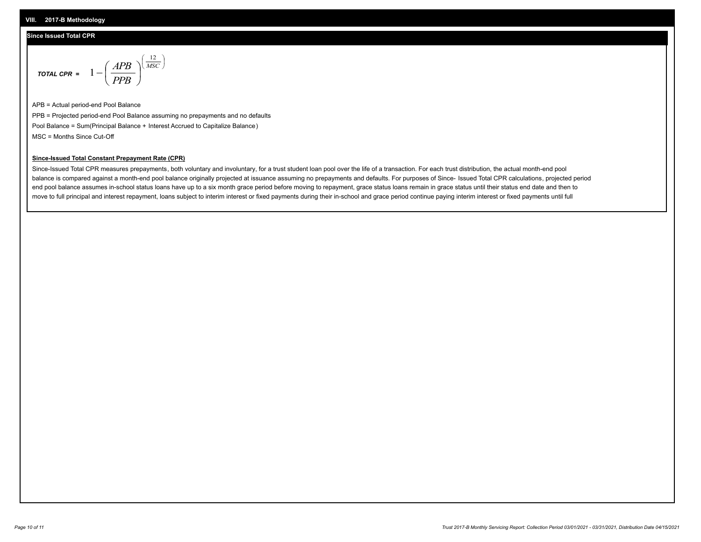#### **VIII. 2017-B Methodology**

### **Since Issued Total CPR**

$$
\text{total CPR} = 1 - \left(\frac{APB}{PPB}\right)^{\left(\frac{12}{MSC}\right)}
$$

APB = Actual period-end Pool Balance PPB = Projected period-end Pool Balance assuming no prepayments and no defaults Pool Balance = Sum(Principal Balance + Interest Accrued to Capitalize Balance) MSC = Months Since Cut-Off

 $\mathsf{I}$ J λ

## **Since-Issued Total Constant Prepayment Rate (CPR)**

Since-Issued Total CPR measures prepayments, both voluntary and involuntary, for a trust student loan pool over the life of a transaction. For each trust distribution, the actual month-end pool balance is compared against a month-end pool balance originally projected at issuance assuming no prepayments and defaults. For purposes of Since- Issued Total CPR calculations, projected period end pool balance assumes in-school status loans have up to a six month grace period before moving to repayment, grace status loans remain in grace status until their status end date and then to move to full principal and interest repayment, loans subject to interim interest or fixed payments during their in-school and grace period continue paying interim interest or fixed payments until full